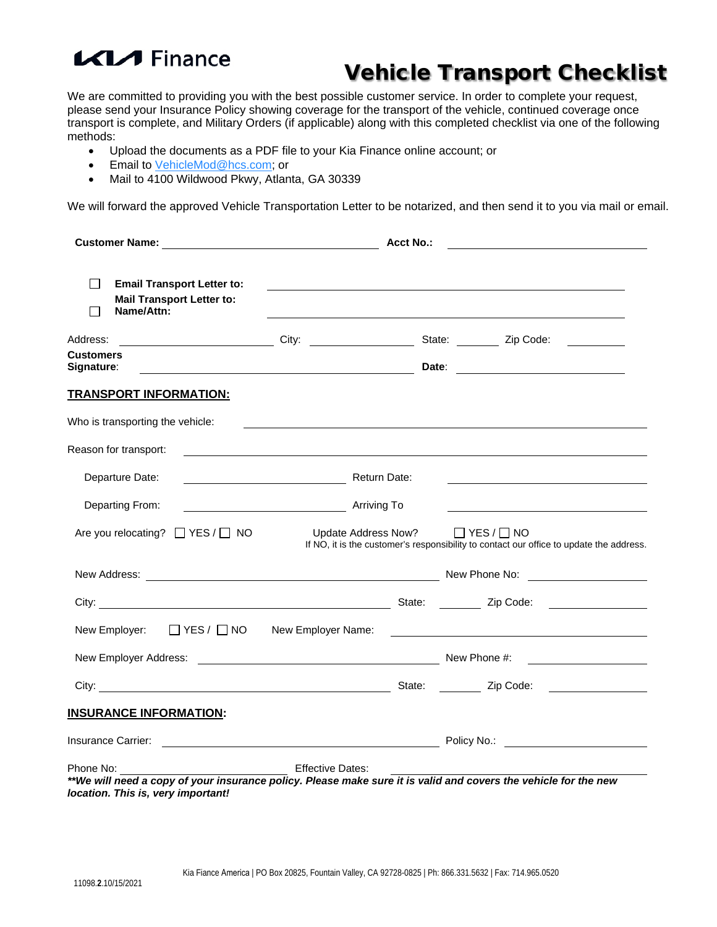# **KIA** Finance

### Vehicle Transport Checklist

We are committed to providing you with the best possible customer service. In order to complete your request, please send your Insurance Policy showing coverage for the transport of the vehicle, continued coverage once transport is complete, and Military Orders (if applicable) along with this completed checklist via one of the following methods:

- Upload the documents as a PDF file to your Kia Finance online account; or
- Email to [VehicleMod@hcs.com;](mailto:VehicleMod@hcs.com) or
- Mail to 4100 Wildwood Pkwy, Atlanta, GA 30339

We will forward the approved Vehicle Transportation Letter to be notarized, and then send it to you via mail or email.

|                                                                                                                                                       | <b>Acct No.:</b>                                                |  |                                                                                                                                                                                                                                |  |  |
|-------------------------------------------------------------------------------------------------------------------------------------------------------|-----------------------------------------------------------------|--|--------------------------------------------------------------------------------------------------------------------------------------------------------------------------------------------------------------------------------|--|--|
| $\perp$<br><b>Email Transport Letter to:</b><br><b>Mail Transport Letter to:</b><br>Name/Attn:<br>l 1                                                 |                                                                 |  |                                                                                                                                                                                                                                |  |  |
| Address:                                                                                                                                              | City: $\qquad \qquad$                                           |  | State: <u>Zip Code:</u>                                                                                                                                                                                                        |  |  |
| <b>Customers</b><br>Signature:                                                                                                                        | <u> 1989 - Johann Barn, fransk politik amerikansk politik (</u> |  |                                                                                                                                                                                                                                |  |  |
| <b>TRANSPORT INFORMATION:</b>                                                                                                                         |                                                                 |  |                                                                                                                                                                                                                                |  |  |
| Who is transporting the vehicle:                                                                                                                      |                                                                 |  |                                                                                                                                                                                                                                |  |  |
| Reason for transport:                                                                                                                                 |                                                                 |  |                                                                                                                                                                                                                                |  |  |
| Departure Date:                                                                                                                                       | Return Date:                                                    |  |                                                                                                                                                                                                                                |  |  |
| Departing From:                                                                                                                                       | Arriving To                                                     |  |                                                                                                                                                                                                                                |  |  |
| Are you relocating? □ YES / □ NO                                                                                                                      |                                                                 |  | Update Address Now? ■ YES / □ NO<br>If NO, it is the customer's responsibility to contact our office to update the address.                                                                                                    |  |  |
|                                                                                                                                                       |                                                                 |  |                                                                                                                                                                                                                                |  |  |
|                                                                                                                                                       |                                                                 |  |                                                                                                                                                                                                                                |  |  |
| New Employer: □ YES / □ NO New Employer Name:                                                                                                         |                                                                 |  |                                                                                                                                                                                                                                |  |  |
|                                                                                                                                                       |                                                                 |  |                                                                                                                                                                                                                                |  |  |
|                                                                                                                                                       |                                                                 |  |                                                                                                                                                                                                                                |  |  |
| <b>INSURANCE INFORMATION:</b>                                                                                                                         |                                                                 |  |                                                                                                                                                                                                                                |  |  |
|                                                                                                                                                       |                                                                 |  | Insurance Carrier: New York 2012 19:00 No. 2012 20:00 No. 2012 20:00 No. 2012 20:00 No. 2012 20:00 No. 2012 20:00 No. 2013 20:00 No. 2013 20:00 No. 20:00 No. 20:00 No. 20:00 No. 20:00 No. 20:00 No. 20:00 No. 20:00 No. 20:0 |  |  |
| Phone No:                                                                                                                                             | <b>Effective Dates:</b>                                         |  |                                                                                                                                                                                                                                |  |  |
| **We will need a copy of your insurance policy. Please make sure it is valid and covers the vehicle for the new<br>location. This is, very important! |                                                                 |  |                                                                                                                                                                                                                                |  |  |